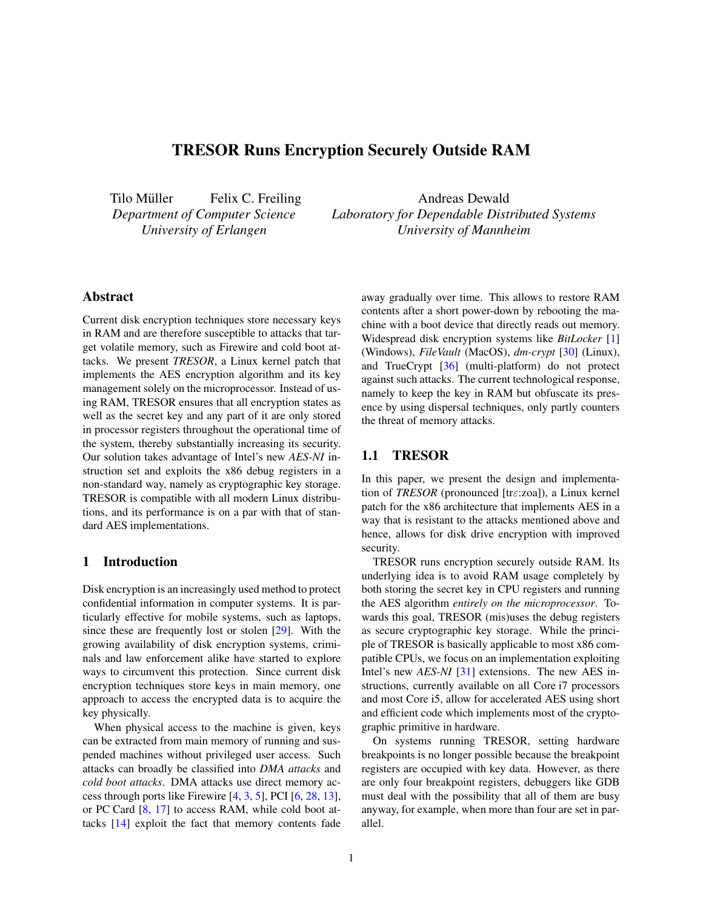# TRESOR Runs Encryption Securely Outside RAM

Tilo Müller Felix C. Freiling *Department of Computer Science University of Erlangen*

Andreas Dewald *Laboratory for Dependable Distributed Systems University of Mannheim*

# Abstract

Current disk encryption techniques store necessary keys in RAM and are therefore susceptible to attacks that target volatile memory, such as Firewire and cold boot attacks. We present *TRESOR*, a Linux kernel patch that implements the AES encryption algorithm and its key management solely on the microprocessor. Instead of using RAM, TRESOR ensures that all encryption states as well as the secret key and any part of it are only stored in processor registers throughout the operational time of the system, thereby substantially increasing its security. Our solution takes advantage of Intel's new *AES-NI* instruction set and exploits the x86 debug registers in a non-standard way, namely as cryptographic key storage. TRESOR is compatible with all modern Linux distributions, and its performance is on a par with that of standard AES implementations.

# 1 Introduction

Disk encryption is an increasingly used method to protect confidential information in computer systems. It is particularly effective for mobile systems, such as laptops, since these are frequently lost or stolen [\[29\]](#page-13-0). With the growing availability of disk encryption systems, criminals and law enforcement alike have started to explore ways to circumvent this protection. Since current disk encryption techniques store keys in main memory, one approach to access the encrypted data is to acquire the key physically.

When physical access to the machine is given, keys can be extracted from main memory of running and suspended machines without privileged user access. Such attacks can broadly be classified into *DMA attacks* and *cold boot attacks*. DMA attacks use direct memory access through ports like Firewire [\[4,](#page-12-0) [3,](#page-12-1) [5\]](#page-12-2), PCI [\[6,](#page-12-3) [28,](#page-13-1) [13\]](#page-12-4), or PC Card [\[8,](#page-12-5) [17\]](#page-13-2) to access RAM, while cold boot attacks [\[14\]](#page-12-6) exploit the fact that memory contents fade away gradually over time. This allows to restore RAM contents after a short power-down by rebooting the machine with a boot device that directly reads out memory. Widespread disk encryption systems like *BitLocker* [\[1\]](#page-12-7) (Windows), *FileVault* (MacOS), *dm-crypt* [\[30\]](#page-13-3) (Linux), and TrueCrypt [\[36\]](#page-13-4) (multi-platform) do not protect against such attacks. The current technological response, namely to keep the key in RAM but obfuscate its presence by using dispersal techniques, only partly counters the threat of memory attacks.

# 1.1 TRESOR

In this paper, we present the design and implementation of *TRESOR* (pronounced [trε:zoa]), a Linux kernel patch for the x86 architecture that implements AES in a way that is resistant to the attacks mentioned above and hence, allows for disk drive encryption with improved security.

TRESOR runs encryption securely outside RAM. Its underlying idea is to avoid RAM usage completely by both storing the secret key in CPU registers and running the AES algorithm *entirely on the microprocessor*. Towards this goal, TRESOR (mis)uses the debug registers as secure cryptographic key storage. While the principle of TRESOR is basically applicable to most x86 compatible CPUs, we focus on an implementation exploiting Intel's new *AES-NI* [\[31\]](#page-13-5) extensions. The new AES instructions, currently available on all Core i7 processors and most Core i5, allow for accelerated AES using short and efficient code which implements most of the cryptographic primitive in hardware.

On systems running TRESOR, setting hardware breakpoints is no longer possible because the breakpoint registers are occupied with key data. However, as there are only four breakpoint registers, debuggers like GDB must deal with the possibility that all of them are busy anyway, for example, when more than four are set in parallel.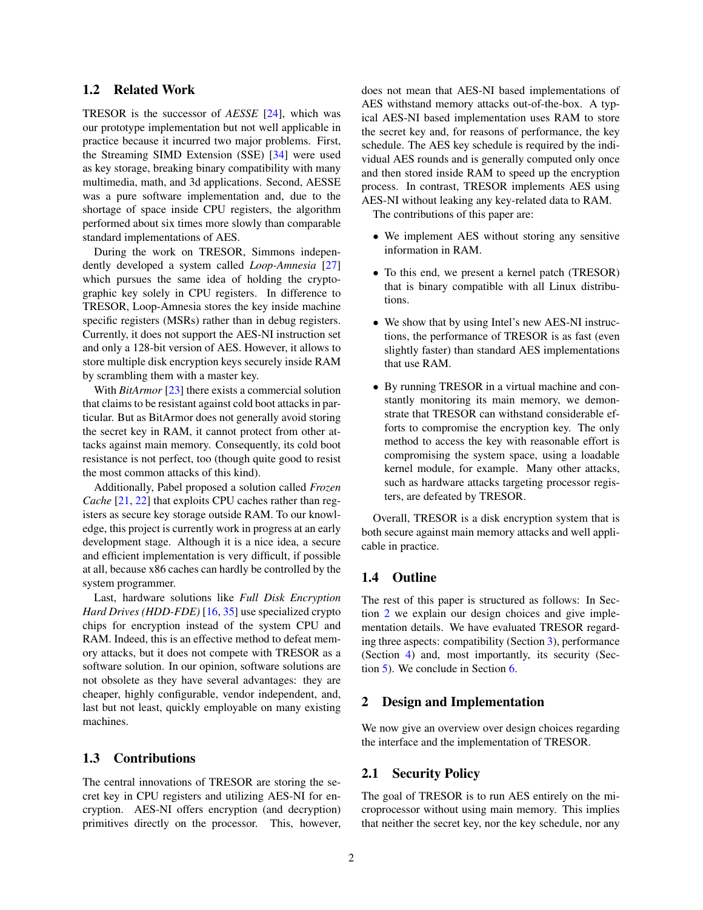# 1.2 Related Work

TRESOR is the successor of *AESSE* [\[24\]](#page-13-6), which was our prototype implementation but not well applicable in practice because it incurred two major problems. First, the Streaming SIMD Extension (SSE) [\[34\]](#page-13-7) were used as key storage, breaking binary compatibility with many multimedia, math, and 3d applications. Second, AESSE was a pure software implementation and, due to the shortage of space inside CPU registers, the algorithm performed about six times more slowly than comparable standard implementations of AES.

During the work on TRESOR, Simmons independently developed a system called *Loop-Amnesia* [\[27\]](#page-13-8) which pursues the same idea of holding the cryptographic key solely in CPU registers. In difference to TRESOR, Loop-Amnesia stores the key inside machine specific registers (MSRs) rather than in debug registers. Currently, it does not support the AES-NI instruction set and only a 128-bit version of AES. However, it allows to store multiple disk encryption keys securely inside RAM by scrambling them with a master key.

With *BitArmor* [\[23\]](#page-13-9) there exists a commercial solution that claims to be resistant against cold boot attacks in particular. But as BitArmor does not generally avoid storing the secret key in RAM, it cannot protect from other attacks against main memory. Consequently, its cold boot resistance is not perfect, too (though quite good to resist the most common attacks of this kind).

Additionally, Pabel proposed a solution called *Frozen Cache* [\[21,](#page-13-10) [22\]](#page-13-11) that exploits CPU caches rather than registers as secure key storage outside RAM. To our knowledge, this project is currently work in progress at an early development stage. Although it is a nice idea, a secure and efficient implementation is very difficult, if possible at all, because x86 caches can hardly be controlled by the system programmer.

Last, hardware solutions like *Full Disk Encryption Hard Drives (HDD-FDE)* [\[16,](#page-12-8) [35\]](#page-13-12) use specialized crypto chips for encryption instead of the system CPU and RAM. Indeed, this is an effective method to defeat memory attacks, but it does not compete with TRESOR as a software solution. In our opinion, software solutions are not obsolete as they have several advantages: they are cheaper, highly configurable, vendor independent, and, last but not least, quickly employable on many existing machines.

# 1.3 Contributions

The central innovations of TRESOR are storing the secret key in CPU registers and utilizing AES-NI for encryption. AES-NI offers encryption (and decryption) primitives directly on the processor. This, however, does not mean that AES-NI based implementations of AES withstand memory attacks out-of-the-box. A typical AES-NI based implementation uses RAM to store the secret key and, for reasons of performance, the key schedule. The AES key schedule is required by the individual AES rounds and is generally computed only once and then stored inside RAM to speed up the encryption process. In contrast, TRESOR implements AES using AES-NI without leaking any key-related data to RAM.

The contributions of this paper are:

- We implement AES without storing any sensitive information in RAM.
- To this end, we present a kernel patch (TRESOR) that is binary compatible with all Linux distributions.
- We show that by using Intel's new AES-NI instructions, the performance of TRESOR is as fast (even slightly faster) than standard AES implementations that use RAM.
- By running TRESOR in a virtual machine and constantly monitoring its main memory, we demonstrate that TRESOR can withstand considerable efforts to compromise the encryption key. The only method to access the key with reasonable effort is compromising the system space, using a loadable kernel module, for example. Many other attacks, such as hardware attacks targeting processor registers, are defeated by TRESOR.

Overall, TRESOR is a disk encryption system that is both secure against main memory attacks and well applicable in practice.

# 1.4 Outline

The rest of this paper is structured as follows: In Section [2](#page-1-0) we explain our design choices and give implementation details. We have evaluated TRESOR regarding three aspects: compatibility (Section [3\)](#page-6-0), performance (Section [4\)](#page-7-0) and, most importantly, its security (Section [5\)](#page-9-0). We conclude in Section [6.](#page-11-0)

#### <span id="page-1-0"></span>2 Design and Implementation

We now give an overview over design choices regarding the interface and the implementation of TRESOR.

# 2.1 Security Policy

The goal of TRESOR is to run AES entirely on the microprocessor without using main memory. This implies that neither the secret key, nor the key schedule, nor any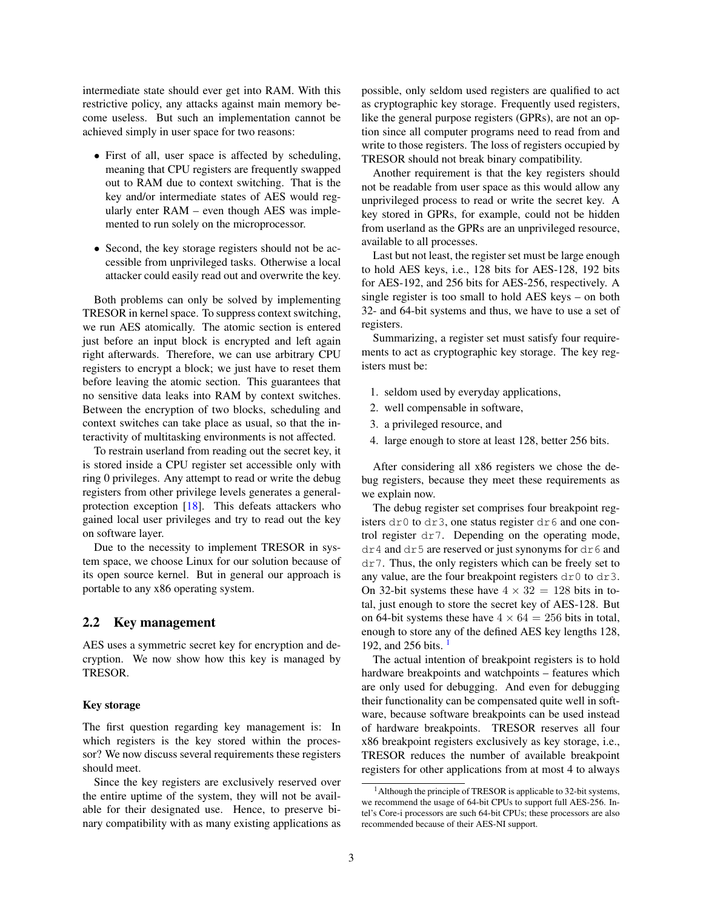intermediate state should ever get into RAM. With this restrictive policy, any attacks against main memory become useless. But such an implementation cannot be achieved simply in user space for two reasons:

- First of all, user space is affected by scheduling, meaning that CPU registers are frequently swapped out to RAM due to context switching. That is the key and/or intermediate states of AES would regularly enter RAM – even though AES was implemented to run solely on the microprocessor.
- Second, the key storage registers should not be accessible from unprivileged tasks. Otherwise a local attacker could easily read out and overwrite the key.

Both problems can only be solved by implementing TRESOR in kernel space. To suppress context switching, we run AES atomically. The atomic section is entered just before an input block is encrypted and left again right afterwards. Therefore, we can use arbitrary CPU registers to encrypt a block; we just have to reset them before leaving the atomic section. This guarantees that no sensitive data leaks into RAM by context switches. Between the encryption of two blocks, scheduling and context switches can take place as usual, so that the interactivity of multitasking environments is not affected.

To restrain userland from reading out the secret key, it is stored inside a CPU register set accessible only with ring 0 privileges. Any attempt to read or write the debug registers from other privilege levels generates a generalprotection exception [\[18\]](#page-13-13). This defeats attackers who gained local user privileges and try to read out the key on software layer.

Due to the necessity to implement TRESOR in system space, we choose Linux for our solution because of its open source kernel. But in general our approach is portable to any x86 operating system.

#### 2.2 Key management

AES uses a symmetric secret key for encryption and decryption. We now show how this key is managed by TRESOR.

#### Key storage

The first question regarding key management is: In which registers is the key stored within the processor? We now discuss several requirements these registers should meet.

Since the key registers are exclusively reserved over the entire uptime of the system, they will not be available for their designated use. Hence, to preserve binary compatibility with as many existing applications as possible, only seldom used registers are qualified to act as cryptographic key storage. Frequently used registers, like the general purpose registers (GPRs), are not an option since all computer programs need to read from and write to those registers. The loss of registers occupied by TRESOR should not break binary compatibility.

Another requirement is that the key registers should not be readable from user space as this would allow any unprivileged process to read or write the secret key. A key stored in GPRs, for example, could not be hidden from userland as the GPRs are an unprivileged resource, available to all processes.

Last but not least, the register set must be large enough to hold AES keys, i.e., 128 bits for AES-128, 192 bits for AES-192, and 256 bits for AES-256, respectively. A single register is too small to hold AES keys – on both 32- and 64-bit systems and thus, we have to use a set of registers.

Summarizing, a register set must satisfy four requirements to act as cryptographic key storage. The key registers must be:

- 1. seldom used by everyday applications,
- 2. well compensable in software,
- 3. a privileged resource, and
- 4. large enough to store at least 128, better 256 bits.

After considering all x86 registers we chose the debug registers, because they meet these requirements as we explain now.

The debug register set comprises four breakpoint registers  $dr0$  to  $dr3$ , one status register  $dr6$  and one control register dr7. Depending on the operating mode, dr4 and dr5 are reserved or just synonyms for dr6 and dr7. Thus, the only registers which can be freely set to any value, are the four breakpoint registers  $dr0$  to  $dr3$ . On 32-bit systems these have  $4 \times 32 = 128$  bits in total, just enough to store the secret key of AES-128. But on 64-bit systems these have  $4 \times 64 = 256$  bits in total, enough to store any of the defined AES key lengths 128, [1](#page-2-0)92, and 256 bits.  $\frac{1}{2}$ 

The actual intention of breakpoint registers is to hold hardware breakpoints and watchpoints – features which are only used for debugging. And even for debugging their functionality can be compensated quite well in software, because software breakpoints can be used instead of hardware breakpoints. TRESOR reserves all four x86 breakpoint registers exclusively as key storage, i.e., TRESOR reduces the number of available breakpoint registers for other applications from at most 4 to always

<span id="page-2-0"></span><sup>&</sup>lt;sup>1</sup> Although the principle of TRESOR is applicable to 32-bit systems, we recommend the usage of 64-bit CPUs to support full AES-256. Intel's Core-i processors are such 64-bit CPUs; these processors are also recommended because of their AES-NI support.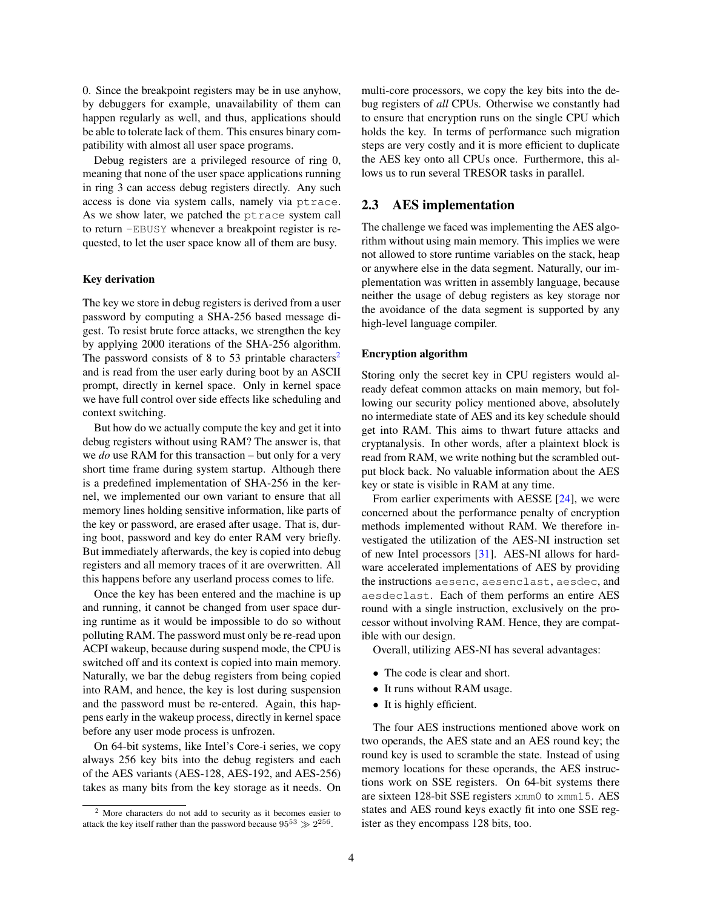0. Since the breakpoint registers may be in use anyhow, by debuggers for example, unavailability of them can happen regularly as well, and thus, applications should be able to tolerate lack of them. This ensures binary compatibility with almost all user space programs.

Debug registers are a privileged resource of ring 0, meaning that none of the user space applications running in ring 3 can access debug registers directly. Any such access is done via system calls, namely via ptrace. As we show later, we patched the ptrace system call to return -EBUSY whenever a breakpoint register is requested, to let the user space know all of them are busy.

#### Key derivation

The key we store in debug registers is derived from a user password by computing a SHA-256 based message digest. To resist brute force attacks, we strengthen the key by applying 2000 iterations of the SHA-256 algorithm. The password consists of 8 to 53 printable characters<sup>[2](#page-3-0)</sup> and is read from the user early during boot by an ASCII prompt, directly in kernel space. Only in kernel space we have full control over side effects like scheduling and context switching.

But how do we actually compute the key and get it into debug registers without using RAM? The answer is, that we *do* use RAM for this transaction – but only for a very short time frame during system startup. Although there is a predefined implementation of SHA-256 in the kernel, we implemented our own variant to ensure that all memory lines holding sensitive information, like parts of the key or password, are erased after usage. That is, during boot, password and key do enter RAM very briefly. But immediately afterwards, the key is copied into debug registers and all memory traces of it are overwritten. All this happens before any userland process comes to life.

Once the key has been entered and the machine is up and running, it cannot be changed from user space during runtime as it would be impossible to do so without polluting RAM. The password must only be re-read upon ACPI wakeup, because during suspend mode, the CPU is switched off and its context is copied into main memory. Naturally, we bar the debug registers from being copied into RAM, and hence, the key is lost during suspension and the password must be re-entered. Again, this happens early in the wakeup process, directly in kernel space before any user mode process is unfrozen.

On 64-bit systems, like Intel's Core-i series, we copy always 256 key bits into the debug registers and each of the AES variants (AES-128, AES-192, and AES-256) takes as many bits from the key storage as it needs. On multi-core processors, we copy the key bits into the debug registers of *all* CPUs. Otherwise we constantly had to ensure that encryption runs on the single CPU which holds the key. In terms of performance such migration steps are very costly and it is more efficient to duplicate the AES key onto all CPUs once. Furthermore, this allows us to run several TRESOR tasks in parallel.

# <span id="page-3-1"></span>2.3 AES implementation

The challenge we faced was implementing the AES algorithm without using main memory. This implies we were not allowed to store runtime variables on the stack, heap or anywhere else in the data segment. Naturally, our implementation was written in assembly language, because neither the usage of debug registers as key storage nor the avoidance of the data segment is supported by any high-level language compiler.

#### Encryption algorithm

Storing only the secret key in CPU registers would already defeat common attacks on main memory, but following our security policy mentioned above, absolutely no intermediate state of AES and its key schedule should get into RAM. This aims to thwart future attacks and cryptanalysis. In other words, after a plaintext block is read from RAM, we write nothing but the scrambled output block back. No valuable information about the AES key or state is visible in RAM at any time.

From earlier experiments with AESSE [\[24\]](#page-13-6), we were concerned about the performance penalty of encryption methods implemented without RAM. We therefore investigated the utilization of the AES-NI instruction set of new Intel processors [\[31\]](#page-13-5). AES-NI allows for hardware accelerated implementations of AES by providing the instructions aesenc, aesenclast, aesdec, and aesdeclast. Each of them performs an entire AES round with a single instruction, exclusively on the processor without involving RAM. Hence, they are compatible with our design.

Overall, utilizing AES-NI has several advantages:

- The code is clear and short.
- It runs without RAM usage.
- It is highly efficient.

The four AES instructions mentioned above work on two operands, the AES state and an AES round key; the round key is used to scramble the state. Instead of using memory locations for these operands, the AES instructions work on SSE registers. On 64-bit systems there are sixteen 128-bit SSE registers xmm0 to xmm15. AES states and AES round keys exactly fit into one SSE register as they encompass 128 bits, too.

<span id="page-3-0"></span><sup>2</sup> More characters do not add to security as it becomes easier to attack the key itself rather than the password because  $95^{53} \gg 2^{256}$ .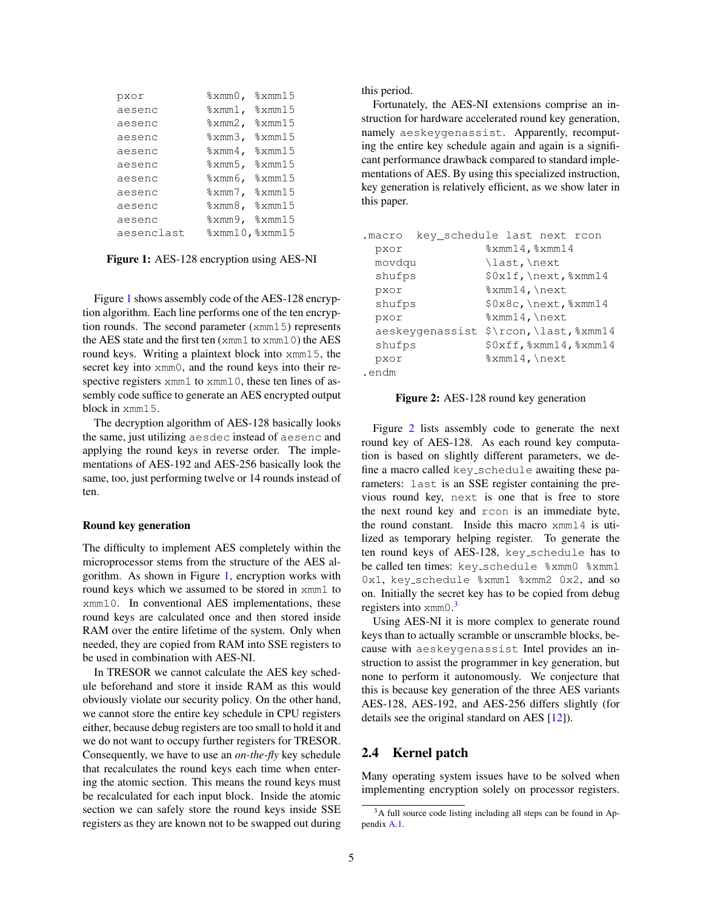<span id="page-4-0"></span>

| pxor       | $\frac{1}{2}$ xmm $0$ , | %xmm15                                              |
|------------|-------------------------|-----------------------------------------------------|
| aesenc     |                         | $\text{3}$ xmm1, $\text{3}$ xmm15                   |
| aesenc     | $\frac{1}{2}$ xmm2,     | $\frac{2}{2}$ xmm 15                                |
| aesenc     | %xmm3,                  | $\frac{2}{2}$ xmm $15$                              |
| aesenc     | $\frac{1}{2}$ xmm4,     | %xmm15                                              |
| aesenc     | %xmm5,                  | $\frac{2}{2}$ xmm 15                                |
| aesenc     | %xmm6,                  | $\frac{2}{2}$ xmm $15$                              |
| aesenc     |                         | $\text{\%} \text{xmm}$ 7, $\text{\%} \text{xmm}$ 15 |
| aesenc     |                         | $\frac{2}{2}$ xmm8, $\frac{2}{3}$ xmm15             |
| aesenc     | %xmm9,                  | %xmm15                                              |
| aesenclast |                         | % xmm10, % xmm15                                    |

Figure 1: AES-128 encryption using AES-NI

Figure [1](#page-4-0) shows assembly code of the AES-128 encryption algorithm. Each line performs one of the ten encryption rounds. The second parameter (xmm15) represents the AES state and the first ten (xmm1 to xmm10) the AES round keys. Writing a plaintext block into xmm15, the secret key into  $xmm0$ , and the round keys into their respective registers xmm1 to xmm10, these ten lines of assembly code suffice to generate an AES encrypted output block in xmm15.

The decryption algorithm of AES-128 basically looks the same, just utilizing aesdec instead of aesenc and applying the round keys in reverse order. The implementations of AES-192 and AES-256 basically look the same, too, just performing twelve or 14 rounds instead of ten.

#### Round key generation

<span id="page-4-3"></span>The difficulty to implement AES completely within the microprocessor stems from the structure of the AES algorithm. As shown in Figure [1,](#page-4-0) encryption works with round keys which we assumed to be stored in xmm1 to xmm10. In conventional AES implementations, these round keys are calculated once and then stored inside RAM over the entire lifetime of the system. Only when needed, they are copied from RAM into SSE registers to be used in combination with AES-NI.

In TRESOR we cannot calculate the AES key schedule beforehand and store it inside RAM as this would obviously violate our security policy. On the other hand, we cannot store the entire key schedule in CPU registers either, because debug registers are too small to hold it and we do not want to occupy further registers for TRESOR. Consequently, we have to use an *on-the-fly* key schedule that recalculates the round keys each time when entering the atomic section. This means the round keys must be recalculated for each input block. Inside the atomic section we can safely store the round keys inside SSE registers as they are known not to be swapped out during this period.

Fortunately, the AES-NI extensions comprise an instruction for hardware accelerated round key generation, namely aeskeygenassist. Apparently, recomputing the entire key schedule again and again is a significant performance drawback compared to standard implementations of AES. By using this specialized instruction, key generation is relatively efficient, as we show later in this paper.

<span id="page-4-1"></span>

| .macro | key schedule last next rcon |                  |                               |
|--------|-----------------------------|------------------|-------------------------------|
| pxor   |                             | % xmm14, % xmm14 |                               |
| movdqu |                             | last, \next\     |                               |
| shufps |                             |                  | $$0x1f, \text{}.$             |
| pxor   |                             | $% xmm14$ , next |                               |
| shufps |                             |                  | $$0x8c, \text{?} xmm14$       |
| pxor   |                             | $% xmm14$ , next |                               |
|        | aeskevgenassist             |                  | $\frac{\gamma}{2}$            |
| shufps |                             |                  | $$0xff$ , $$xmm14$ , $$xmm14$ |
| pxor   |                             | $% xmm14$ , next |                               |
| .endm  |                             |                  |                               |

#### Figure 2: AES-128 round key generation

Figure [2](#page-4-1) lists assembly code to generate the next round key of AES-128. As each round key computation is based on slightly different parameters, we define a macro called key schedule awaiting these parameters: last is an SSE register containing the previous round key, next is one that is free to store the next round key and rcon is an immediate byte, the round constant. Inside this macro xmm14 is utilized as temporary helping register. To generate the ten round keys of AES-128, key schedule has to be called ten times: key schedule %xmm0 %xmm1 0x1, key\_schedule %xmm1 %xmm2 0x2, and so on. Initially the secret key has to be copied from debug registers into xmm0.<sup>[3](#page-4-2)</sup>

Using AES-NI it is more complex to generate round keys than to actually scramble or unscramble blocks, because with aeskeygenassist Intel provides an instruction to assist the programmer in key generation, but none to perform it autonomously. We conjecture that this is because key generation of the three AES variants AES-128, AES-192, and AES-256 differs slightly (for details see the original standard on AES [\[12\]](#page-12-9)).

# 2.4 Kernel patch

Many operating system issues have to be solved when implementing encryption solely on processor registers.

<span id="page-4-2"></span><sup>&</sup>lt;sup>3</sup>A full source code listing including all steps can be found in Appendix [A.1.](#page-13-14)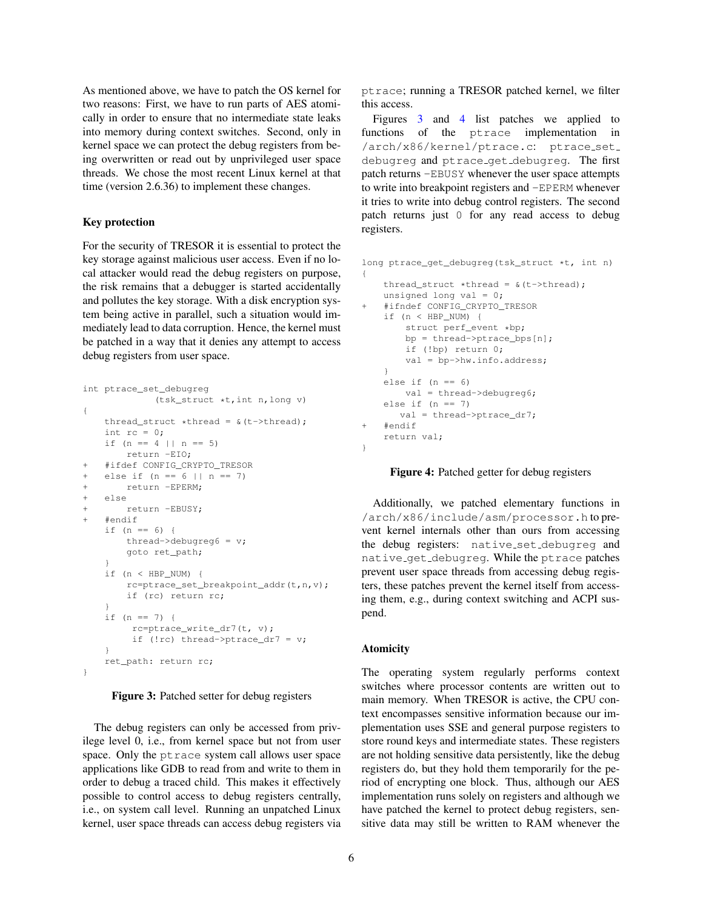As mentioned above, we have to patch the OS kernel for two reasons: First, we have to run parts of AES atomically in order to ensure that no intermediate state leaks into memory during context switches. Second, only in kernel space we can protect the debug registers from being overwritten or read out by unprivileged user space threads. We chose the most recent Linux kernel at that time (version 2.6.36) to implement these changes.

#### Key protection

For the security of TRESOR it is essential to protect the key storage against malicious user access. Even if no local attacker would read the debug registers on purpose, the risk remains that a debugger is started accidentally and pollutes the key storage. With a disk encryption system being active in parallel, such a situation would immediately lead to data corruption. Hence, the kernel must be patched in a way that it denies any attempt to access debug registers from user space.

```
int ptrace_set_debugreg
             (tsk_struct *t,int n,long v)
{
   thread_struct *thread = \alpha(t->thread);
   int rc = 0;if (n == 4 | | n == 5)return -EIO;
+ #ifdef CONFIG_CRYPTO_TRESOR
   else if (n == 6 || n == 7)+ return -EPERM;
+ else
+ return -EBUSY;
   + #endif
   if (n == 6) {
       thread->debugreg6 = v;
       goto ret_path;
    }
    if (n < HBP_NUM) {
       rc=ptrace_set_breakpoint_addr(t,n,v);
       if (rc) return rc;
    }
    if (n == 7) {
        rc=ptrace write dr7(t, v);
         if (!rc) thread->ptrace_dr7 = v;
    }
    ret_path: return rc;
}
```
#### Figure 3: Patched setter for debug registers

The debug registers can only be accessed from privilege level 0, i.e., from kernel space but not from user space. Only the ptrace system call allows user space applications like GDB to read from and write to them in order to debug a traced child. This makes it effectively possible to control access to debug registers centrally, i.e., on system call level. Running an unpatched Linux kernel, user space threads can access debug registers via

ptrace; running a TRESOR patched kernel, we filter this access.

Figures [3](#page-5-0) and [4](#page-5-1) list patches we applied to functions of the ptrace implementation in /arch/x86/kernel/ptrace.c: ptrace\_set\_ debugreg and ptrace get debugreg. The first patch returns -EBUSY whenever the user space attempts to write into breakpoint registers and -EPERM whenever it tries to write into debug control registers. The second patch returns just 0 for any read access to debug registers.

```
long ptrace_get_debugreg(tsk_struct *t, int n)
{
    thread_struct *thread = \alpha(t->thread);
   unsigned long val = 0;
    + #ifndef CONFIG_CRYPTO_TRESOR
    if (n < HBP_NUM) {
        struct perf_event *bp;
       bp = thread->ptrace_bps[n];
       if (!bp) return 0;
        val = bp->hw.info.address;
    }
    else if (n == 6)val = thread->debugreg6;
    else if (n == 7)val = thread->ptrace_dr7;
+ #endif
    return val;
}
```
#### Figure 4: Patched getter for debug registers

Additionally, we patched elementary functions in /arch/x86/include/asm/processor.h to prevent kernel internals other than ours from accessing the debug registers: native set debugreg and native get debugreg. While the ptrace patches prevent user space threads from accessing debug registers, these patches prevent the kernel itself from accessing them, e.g., during context switching and ACPI suspend.

#### Atomicity

The operating system regularly performs context switches where processor contents are written out to main memory. When TRESOR is active, the CPU context encompasses sensitive information because our implementation uses SSE and general purpose registers to store round keys and intermediate states. These registers are not holding sensitive data persistently, like the debug registers do, but they hold them temporarily for the period of encrypting one block. Thus, although our AES implementation runs solely on registers and although we have patched the kernel to protect debug registers, sensitive data may still be written to RAM whenever the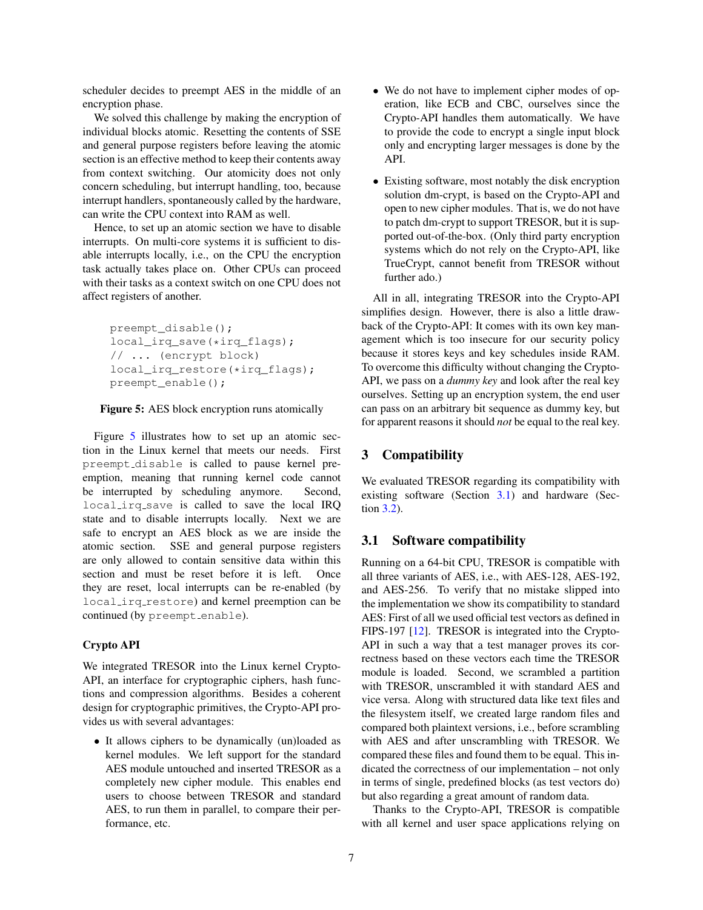scheduler decides to preempt AES in the middle of an encryption phase.

We solved this challenge by making the encryption of individual blocks atomic. Resetting the contents of SSE and general purpose registers before leaving the atomic section is an effective method to keep their contents away from context switching. Our atomicity does not only concern scheduling, but interrupt handling, too, because interrupt handlers, spontaneously called by the hardware, can write the CPU context into RAM as well.

Hence, to set up an atomic section we have to disable interrupts. On multi-core systems it is sufficient to disable interrupts locally, i.e., on the CPU the encryption task actually takes place on. Other CPUs can proceed with their tasks as a context switch on one CPU does not affect registers of another.

<span id="page-6-1"></span>preempt\_disable(); local\_irq\_save(\*irq\_flags); // ... (encrypt block) local\_irq\_restore(\*irq\_flags); preempt\_enable();

#### Figure 5: AES block encryption runs atomically

Figure [5](#page-6-1) illustrates how to set up an atomic section in the Linux kernel that meets our needs. First preempt disable is called to pause kernel preemption, meaning that running kernel code cannot be interrupted by scheduling anymore. Second, local irq save is called to save the local IRQ state and to disable interrupts locally. Next we are safe to encrypt an AES block as we are inside the atomic section. SSE and general purpose registers are only allowed to contain sensitive data within this section and must be reset before it is left. Once they are reset, local interrupts can be re-enabled (by local irq restore) and kernel preemption can be continued (by preempt\_enable).

#### Crypto API

We integrated TRESOR into the Linux kernel Crypto-API, an interface for cryptographic ciphers, hash functions and compression algorithms. Besides a coherent design for cryptographic primitives, the Crypto-API provides us with several advantages:

• It allows ciphers to be dynamically (un)loaded as kernel modules. We left support for the standard AES module untouched and inserted TRESOR as a completely new cipher module. This enables end users to choose between TRESOR and standard AES, to run them in parallel, to compare their performance, etc.

- We do not have to implement cipher modes of operation, like ECB and CBC, ourselves since the Crypto-API handles them automatically. We have to provide the code to encrypt a single input block only and encrypting larger messages is done by the API.
- Existing software, most notably the disk encryption solution dm-crypt, is based on the Crypto-API and open to new cipher modules. That is, we do not have to patch dm-crypt to support TRESOR, but it is supported out-of-the-box. (Only third party encryption systems which do not rely on the Crypto-API, like TrueCrypt, cannot benefit from TRESOR without further ado.)

All in all, integrating TRESOR into the Crypto-API simplifies design. However, there is also a little drawback of the Crypto-API: It comes with its own key management which is too insecure for our security policy because it stores keys and key schedules inside RAM. To overcome this difficulty without changing the Crypto-API, we pass on a *dummy key* and look after the real key ourselves. Setting up an encryption system, the end user can pass on an arbitrary bit sequence as dummy key, but for apparent reasons it should *not* be equal to the real key.

# <span id="page-6-0"></span>3 Compatibility

We evaluated TRESOR regarding its compatibility with existing software (Section [3.1\)](#page-6-2) and hardware (Section [3.2\)](#page-7-1).

#### <span id="page-6-2"></span>3.1 Software compatibility

Running on a 64-bit CPU, TRESOR is compatible with all three variants of AES, i.e., with AES-128, AES-192, and AES-256. To verify that no mistake slipped into the implementation we show its compatibility to standard AES: First of all we used official test vectors as defined in FIPS-197 [\[12\]](#page-12-9). TRESOR is integrated into the Crypto-API in such a way that a test manager proves its correctness based on these vectors each time the TRESOR module is loaded. Second, we scrambled a partition with TRESOR, unscrambled it with standard AES and vice versa. Along with structured data like text files and the filesystem itself, we created large random files and compared both plaintext versions, i.e., before scrambling with AES and after unscrambling with TRESOR. We compared these files and found them to be equal. This indicated the correctness of our implementation – not only in terms of single, predefined blocks (as test vectors do) but also regarding a great amount of random data.

Thanks to the Crypto-API, TRESOR is compatible with all kernel and user space applications relying on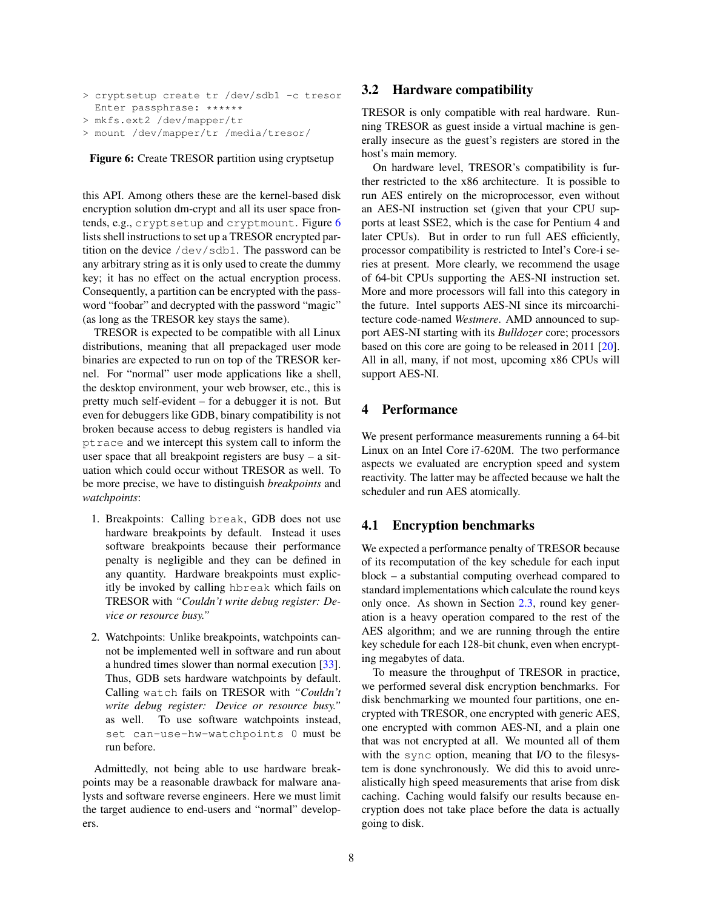```
> cryptsetup create tr /dev/sdb1 -c tresor
 Enter passphrase: ******
> mkfs.ext2 /dev/mapper/tr
> mount /dev/mapper/tr /media/tresor/
```
Figure 6: Create TRESOR partition using cryptsetup

this API. Among others these are the kernel-based disk encryption solution dm-crypt and all its user space frontends, e.g., cryptsetup and cryptmount. Figure [6](#page-7-2) lists shell instructions to set up a TRESOR encrypted partition on the device /dev/sdb1. The password can be any arbitrary string as it is only used to create the dummy key; it has no effect on the actual encryption process. Consequently, a partition can be encrypted with the password "foobar" and decrypted with the password "magic" (as long as the TRESOR key stays the same).

TRESOR is expected to be compatible with all Linux distributions, meaning that all prepackaged user mode binaries are expected to run on top of the TRESOR kernel. For "normal" user mode applications like a shell, the desktop environment, your web browser, etc., this is pretty much self-evident – for a debugger it is not. But even for debuggers like GDB, binary compatibility is not broken because access to debug registers is handled via ptrace and we intercept this system call to inform the user space that all breakpoint registers are busy – a situation which could occur without TRESOR as well. To be more precise, we have to distinguish *breakpoints* and *watchpoints*:

- 1. Breakpoints: Calling break, GDB does not use hardware breakpoints by default. Instead it uses software breakpoints because their performance penalty is negligible and they can be defined in any quantity. Hardware breakpoints must explicitly be invoked by calling hbreak which fails on TRESOR with *"Couldn't write debug register: Device or resource busy."*
- 2. Watchpoints: Unlike breakpoints, watchpoints cannot be implemented well in software and run about a hundred times slower than normal execution [\[33\]](#page-13-15). Thus, GDB sets hardware watchpoints by default. Calling watch fails on TRESOR with *"Couldn't write debug register: Device or resource busy."* as well. To use software watchpoints instead, set can-use-hw-watchpoints 0 must be run before.

Admittedly, not being able to use hardware breakpoints may be a reasonable drawback for malware analysts and software reverse engineers. Here we must limit the target audience to end-users and "normal" developers.

# <span id="page-7-1"></span>3.2 Hardware compatibility

TRESOR is only compatible with real hardware. Running TRESOR as guest inside a virtual machine is generally insecure as the guest's registers are stored in the host's main memory.

On hardware level, TRESOR's compatibility is further restricted to the x86 architecture. It is possible to run AES entirely on the microprocessor, even without an AES-NI instruction set (given that your CPU supports at least SSE2, which is the case for Pentium 4 and later CPUs). But in order to run full AES efficiently, processor compatibility is restricted to Intel's Core-i series at present. More clearly, we recommend the usage of 64-bit CPUs supporting the AES-NI instruction set. More and more processors will fall into this category in the future. Intel supports AES-NI since its mircoarchitecture code-named *Westmere*. AMD announced to support AES-NI starting with its *Bulldozer* core; processors based on this core are going to be released in 2011 [\[20\]](#page-13-16). All in all, many, if not most, upcoming x86 CPUs will support AES-NI.

# <span id="page-7-0"></span>4 Performance

We present performance measurements running a 64-bit Linux on an Intel Core i7-620M. The two performance aspects we evaluated are encryption speed and system reactivity. The latter may be affected because we halt the scheduler and run AES atomically.

# 4.1 Encryption benchmarks

We expected a performance penalty of TRESOR because of its recomputation of the key schedule for each input block – a substantial computing overhead compared to standard implementations which calculate the round keys only once. As shown in Section [2.3,](#page-3-1) round key generation is a heavy operation compared to the rest of the AES algorithm; and we are running through the entire key schedule for each 128-bit chunk, even when encrypting megabytes of data.

To measure the throughput of TRESOR in practice, we performed several disk encryption benchmarks. For disk benchmarking we mounted four partitions, one encrypted with TRESOR, one encrypted with generic AES, one encrypted with common AES-NI, and a plain one that was not encrypted at all. We mounted all of them with the sync option, meaning that I/O to the filesystem is done synchronously. We did this to avoid unrealistically high speed measurements that arise from disk caching. Caching would falsify our results because encryption does not take place before the data is actually going to disk.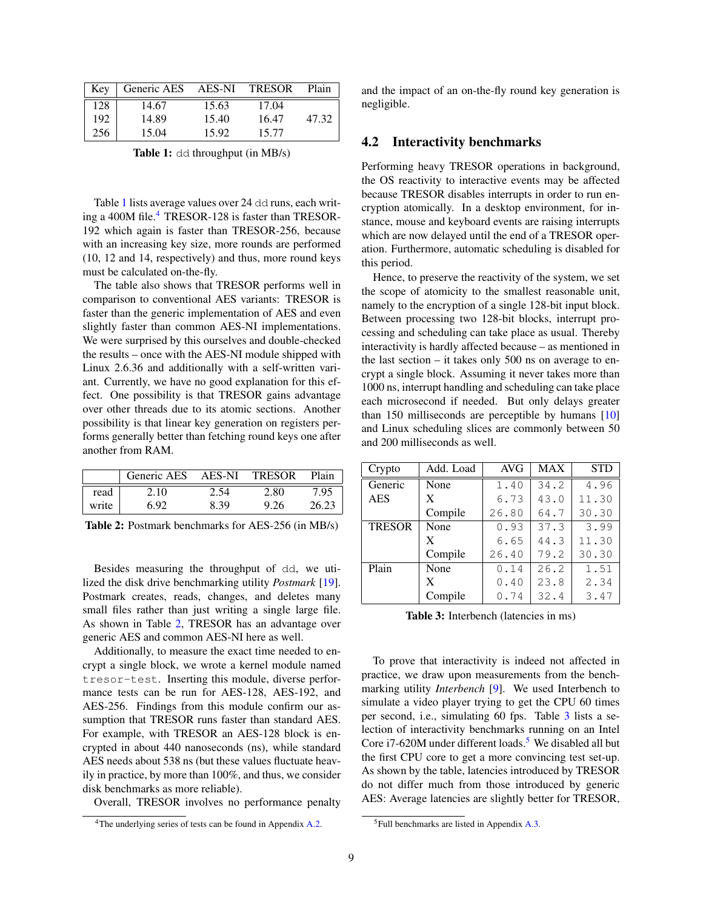<span id="page-8-0"></span>

| Kev | Generic AES | AES-NI | <b>TRESOR</b> | Plain |
|-----|-------------|--------|---------------|-------|
| 128 | 14.67       | 15.63  | 17.04         |       |
| 192 | 14.89       | 15.40  | 16.47         | 47.32 |
| 256 | 15.04       | 15.92  | 15.77         |       |

Table 1: dd throughput (in MB/s)

Table [1](#page-8-0) lists average values over 24 dd runs, each writ-ing a [4](#page-8-1)00M file. $4$  TRESOR-128 is faster than TRESOR-192 which again is faster than TRESOR-256, because with an increasing key size, more rounds are performed (10, 12 and 14, respectively) and thus, more round keys must be calculated on-the-fly.

The table also shows that TRESOR performs well in comparison to conventional AES variants: TRESOR is faster than the generic implementation of AES and even slightly faster than common AES-NI implementations. We were surprised by this ourselves and double-checked the results – once with the AES-NI module shipped with Linux 2.6.36 and additionally with a self-written variant. Currently, we have no good explanation for this effect. One possibility is that TRESOR gains advantage over other threads due to its atomic sections. Another possibility is that linear key generation on registers performs generally better than fetching round keys one after another from RAM.

<span id="page-8-2"></span>

|       | Generic AES | AES-NI | <b>TRESOR</b> | Plain |
|-------|-------------|--------|---------------|-------|
| read  | 2.10        | 2.54   | 2.80          | 7.95  |
| write | 692         | 8.39   | 9.26          | 26.23 |

Table 2: Postmark benchmarks for AES-256 (in MB/s)

Besides measuring the throughput of dd, we utilized the disk drive benchmarking utility *Postmark* [\[19\]](#page-13-17). Postmark creates, reads, changes, and deletes many small files rather than just writing a single large file. As shown in Table [2,](#page-8-2) TRESOR has an advantage over generic AES and common AES-NI here as well.

Additionally, to measure the exact time needed to encrypt a single block, we wrote a kernel module named tresor-test. Inserting this module, diverse performance tests can be run for AES-128, AES-192, and AES-256. Findings from this module confirm our assumption that TRESOR runs faster than standard AES. For example, with TRESOR an AES-128 block is encrypted in about 440 nanoseconds (ns), while standard AES needs about 538 ns (but these values fluctuate heavily in practice, by more than 100%, and thus, we consider disk benchmarks as more reliable).

Overall, TRESOR involves no performance penalty

and the impact of an on-the-fly round key generation is negligible.

#### 4.2 Interactivity benchmarks

Performing heavy TRESOR operations in background, the OS reactivity to interactive events may be affected because TRESOR disables interrupts in order to run encryption atomically. In a desktop environment, for instance, mouse and keyboard events are raising interrupts which are now delayed until the end of a TRESOR operation. Furthermore, automatic scheduling is disabled for this period.

Hence, to preserve the reactivity of the system, we set the scope of atomicity to the smallest reasonable unit, namely to the encryption of a single 128-bit input block. Between processing two 128-bit blocks, interrupt processing and scheduling can take place as usual. Thereby interactivity is hardly affected because – as mentioned in the last section – it takes only 500 ns on average to encrypt a single block. Assuming it never takes more than 1000 ns, interrupt handling and scheduling can take place each microsecond if needed. But only delays greater than 150 milliseconds are perceptible by humans [\[10\]](#page-12-10) and Linux scheduling slices are commonly between 50 and 200 milliseconds as well.

<span id="page-8-3"></span>

| Crypto        | Add. Load | <b>AVG</b> | <b>MAX</b> | <b>STD</b> |
|---------------|-----------|------------|------------|------------|
| Generic       | None      | 1.40       | 34.2       | 4.96       |
| <b>AES</b>    | X         | 6.73       | 43.0       | 11.30      |
|               | Compile   | 26.80      | 64.7       | 30.30      |
| <b>TRESOR</b> | None      | 0.93       | 37.3       | 3.99       |
|               | X         | 6.65       | 44.3       | 11.30      |
|               | Compile   | 26.40      | 79.2       | 30.30      |
| Plain         | None      | 0.14       | 26.2       | 1.51       |
|               | X         | 0.40       | 23.8       | 2.34       |
|               | Compile   | 0.74       | 32.4       | 3.47       |

Table 3: Interbench (latencies in ms)

To prove that interactivity is indeed not affected in practice, we draw upon measurements from the benchmarking utility *Interbench* [\[9\]](#page-12-11). We used Interbench to simulate a video player trying to get the CPU 60 times per second, i.e., simulating 60 fps. Table [3](#page-8-3) lists a selection of interactivity benchmarks running on an Intel Core i7-620M under different loads.<sup>[5](#page-8-4)</sup> We disabled all but the first CPU core to get a more convincing test set-up. As shown by the table, latencies introduced by TRESOR do not differ much from those introduced by generic AES: Average latencies are slightly better for TRESOR,

<span id="page-8-1"></span><sup>&</sup>lt;sup>4</sup>The underlying series of tests can be found in Appendix [A.2.](#page-14-0)

<span id="page-8-4"></span> $5$ Full benchmarks are listed in Appendix [A.3.](#page-15-0)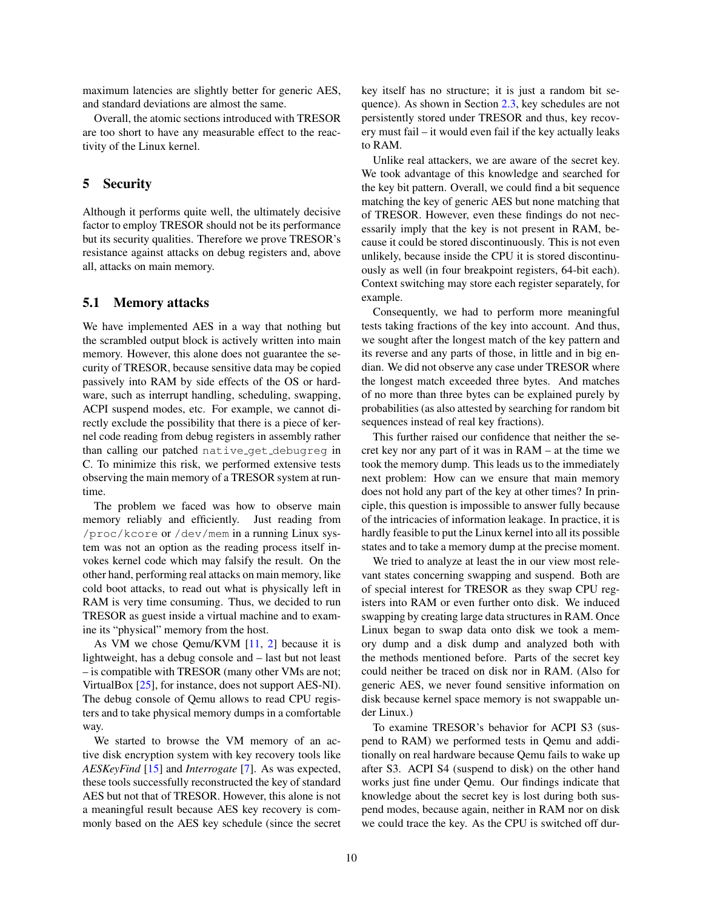maximum latencies are slightly better for generic AES, and standard deviations are almost the same.

Overall, the atomic sections introduced with TRESOR are too short to have any measurable effect to the reactivity of the Linux kernel.

# <span id="page-9-0"></span>5 Security

Although it performs quite well, the ultimately decisive factor to employ TRESOR should not be its performance but its security qualities. Therefore we prove TRESOR's resistance against attacks on debug registers and, above all, attacks on main memory.

# 5.1 Memory attacks

We have implemented AES in a way that nothing but the scrambled output block is actively written into main memory. However, this alone does not guarantee the security of TRESOR, because sensitive data may be copied passively into RAM by side effects of the OS or hardware, such as interrupt handling, scheduling, swapping, ACPI suspend modes, etc. For example, we cannot directly exclude the possibility that there is a piece of kernel code reading from debug registers in assembly rather than calling our patched native get debugreg in C. To minimize this risk, we performed extensive tests observing the main memory of a TRESOR system at runtime.

The problem we faced was how to observe main memory reliably and efficiently. Just reading from /proc/kcore or /dev/mem in a running Linux system was not an option as the reading process itself invokes kernel code which may falsify the result. On the other hand, performing real attacks on main memory, like cold boot attacks, to read out what is physically left in RAM is very time consuming. Thus, we decided to run TRESOR as guest inside a virtual machine and to examine its "physical" memory from the host.

As VM we chose Qemu/KVM [\[11,](#page-12-12) [2\]](#page-12-13) because it is lightweight, has a debug console and – last but not least – is compatible with TRESOR (many other VMs are not; VirtualBox [\[25\]](#page-13-18), for instance, does not support AES-NI). The debug console of Qemu allows to read CPU registers and to take physical memory dumps in a comfortable way.

We started to browse the VM memory of an active disk encryption system with key recovery tools like *AESKeyFind* [\[15\]](#page-12-14) and *Interrogate* [\[7\]](#page-12-15). As was expected, these tools successfully reconstructed the key of standard AES but not that of TRESOR. However, this alone is not a meaningful result because AES key recovery is commonly based on the AES key schedule (since the secret key itself has no structure; it is just a random bit sequence). As shown in Section [2.3,](#page-4-3) key schedules are not persistently stored under TRESOR and thus, key recovery must fail – it would even fail if the key actually leaks to RAM.

Unlike real attackers, we are aware of the secret key. We took advantage of this knowledge and searched for the key bit pattern. Overall, we could find a bit sequence matching the key of generic AES but none matching that of TRESOR. However, even these findings do not necessarily imply that the key is not present in RAM, because it could be stored discontinuously. This is not even unlikely, because inside the CPU it is stored discontinuously as well (in four breakpoint registers, 64-bit each). Context switching may store each register separately, for example.

Consequently, we had to perform more meaningful tests taking fractions of the key into account. And thus, we sought after the longest match of the key pattern and its reverse and any parts of those, in little and in big endian. We did not observe any case under TRESOR where the longest match exceeded three bytes. And matches of no more than three bytes can be explained purely by probabilities (as also attested by searching for random bit sequences instead of real key fractions).

This further raised our confidence that neither the secret key nor any part of it was in RAM – at the time we took the memory dump. This leads us to the immediately next problem: How can we ensure that main memory does not hold any part of the key at other times? In principle, this question is impossible to answer fully because of the intricacies of information leakage. In practice, it is hardly feasible to put the Linux kernel into all its possible states and to take a memory dump at the precise moment.

We tried to analyze at least the in our view most relevant states concerning swapping and suspend. Both are of special interest for TRESOR as they swap CPU registers into RAM or even further onto disk. We induced swapping by creating large data structures in RAM. Once Linux began to swap data onto disk we took a memory dump and a disk dump and analyzed both with the methods mentioned before. Parts of the secret key could neither be traced on disk nor in RAM. (Also for generic AES, we never found sensitive information on disk because kernel space memory is not swappable under Linux.)

To examine TRESOR's behavior for ACPI S3 (suspend to RAM) we performed tests in Qemu and additionally on real hardware because Qemu fails to wake up after S3. ACPI S4 (suspend to disk) on the other hand works just fine under Qemu. Our findings indicate that knowledge about the secret key is lost during both suspend modes, because again, neither in RAM nor on disk we could trace the key. As the CPU is switched off dur-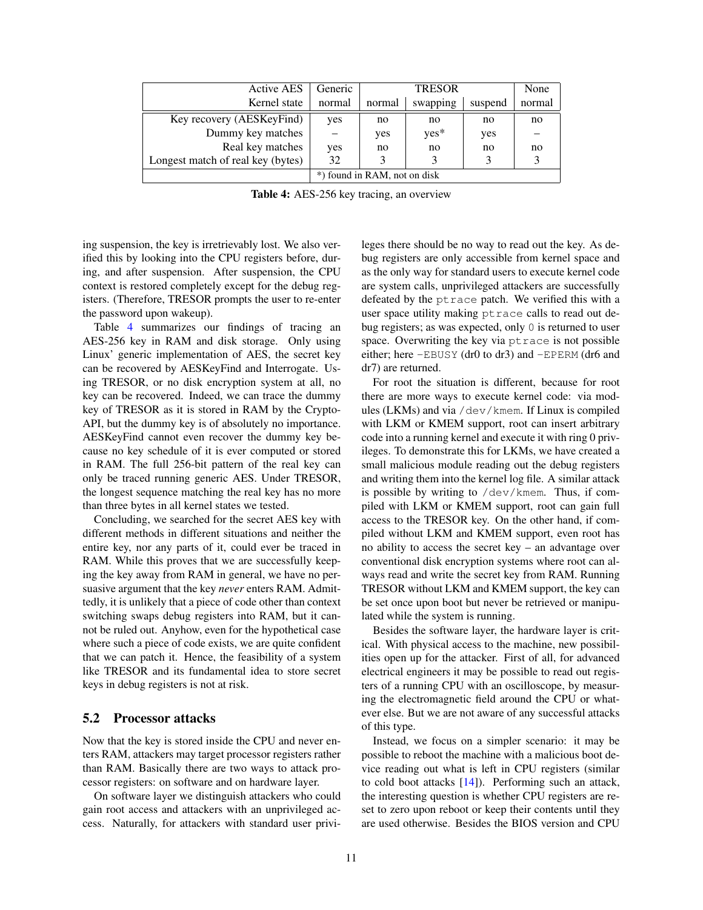<span id="page-10-0"></span>

| <b>Active AES</b>                 | Generic                      | <b>TRESOR</b> |          |         | None   |
|-----------------------------------|------------------------------|---------------|----------|---------|--------|
| Kernel state                      | normal                       | normal        | swapping | suspend | normal |
| Key recovery (AESKeyFind)         | yes                          | no            | no       | no      | no     |
| Dummy key matches                 |                              | yes           | yes*     | yes     |        |
| Real key matches                  | yes                          | no            | no       | no      | no     |
| Longest match of real key (bytes) | 32                           |               |          |         |        |
|                                   | *) found in RAM, not on disk |               |          |         |        |

Table 4: AES-256 key tracing, an overview

ing suspension, the key is irretrievably lost. We also verified this by looking into the CPU registers before, during, and after suspension. After suspension, the CPU context is restored completely except for the debug registers. (Therefore, TRESOR prompts the user to re-enter the password upon wakeup).

Table [4](#page-10-0) summarizes our findings of tracing an AES-256 key in RAM and disk storage. Only using Linux' generic implementation of AES, the secret key can be recovered by AESKeyFind and Interrogate. Using TRESOR, or no disk encryption system at all, no key can be recovered. Indeed, we can trace the dummy key of TRESOR as it is stored in RAM by the Crypto-API, but the dummy key is of absolutely no importance. AESKeyFind cannot even recover the dummy key because no key schedule of it is ever computed or stored in RAM. The full 256-bit pattern of the real key can only be traced running generic AES. Under TRESOR, the longest sequence matching the real key has no more than three bytes in all kernel states we tested.

Concluding, we searched for the secret AES key with different methods in different situations and neither the entire key, nor any parts of it, could ever be traced in RAM. While this proves that we are successfully keeping the key away from RAM in general, we have no persuasive argument that the key *never* enters RAM. Admittedly, it is unlikely that a piece of code other than context switching swaps debug registers into RAM, but it cannot be ruled out. Anyhow, even for the hypothetical case where such a piece of code exists, we are quite confident that we can patch it. Hence, the feasibility of a system like TRESOR and its fundamental idea to store secret keys in debug registers is not at risk.

#### 5.2 Processor attacks

Now that the key is stored inside the CPU and never enters RAM, attackers may target processor registers rather than RAM. Basically there are two ways to attack processor registers: on software and on hardware layer.

On software layer we distinguish attackers who could gain root access and attackers with an unprivileged access. Naturally, for attackers with standard user privileges there should be no way to read out the key. As debug registers are only accessible from kernel space and as the only way for standard users to execute kernel code are system calls, unprivileged attackers are successfully defeated by the ptrace patch. We verified this with a user space utility making ptrace calls to read out debug registers; as was expected, only 0 is returned to user space. Overwriting the key via ptrace is not possible either; here -EBUSY (dr0 to dr3) and -EPERM (dr6 and dr7) are returned.

For root the situation is different, because for root there are more ways to execute kernel code: via modules (LKMs) and via /dev/kmem. If Linux is compiled with LKM or KMEM support, root can insert arbitrary code into a running kernel and execute it with ring 0 privileges. To demonstrate this for LKMs, we have created a small malicious module reading out the debug registers and writing them into the kernel log file. A similar attack is possible by writing to /dev/kmem. Thus, if compiled with LKM or KMEM support, root can gain full access to the TRESOR key. On the other hand, if compiled without LKM and KMEM support, even root has no ability to access the secret key – an advantage over conventional disk encryption systems where root can always read and write the secret key from RAM. Running TRESOR without LKM and KMEM support, the key can be set once upon boot but never be retrieved or manipulated while the system is running.

Besides the software layer, the hardware layer is critical. With physical access to the machine, new possibilities open up for the attacker. First of all, for advanced electrical engineers it may be possible to read out registers of a running CPU with an oscilloscope, by measuring the electromagnetic field around the CPU or whatever else. But we are not aware of any successful attacks of this type.

Instead, we focus on a simpler scenario: it may be possible to reboot the machine with a malicious boot device reading out what is left in CPU registers (similar to cold boot attacks [\[14\]](#page-12-6)). Performing such an attack, the interesting question is whether CPU registers are reset to zero upon reboot or keep their contents until they are used otherwise. Besides the BIOS version and CPU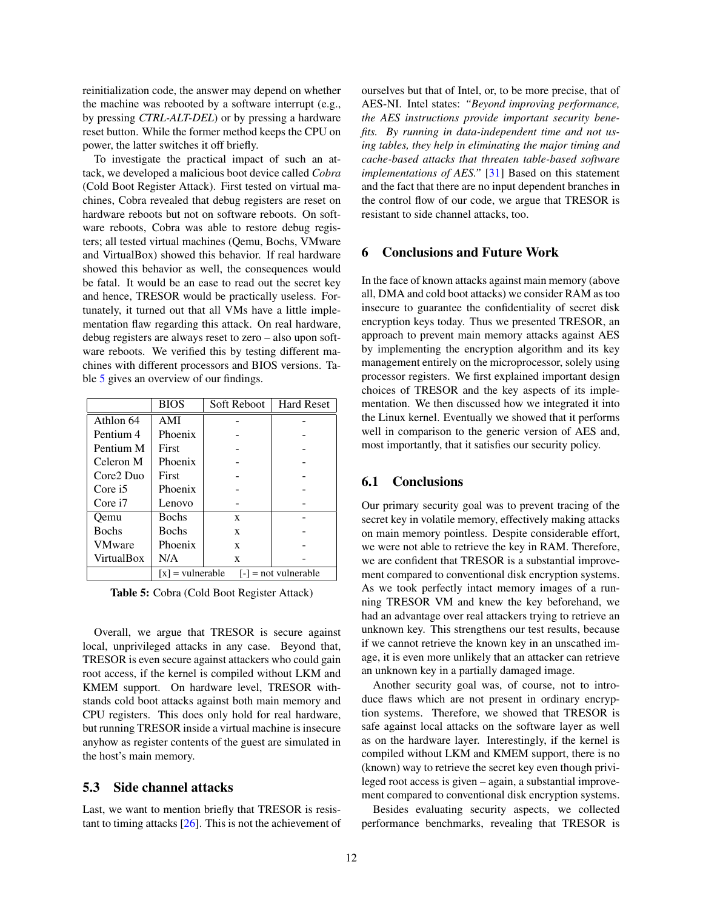reinitialization code, the answer may depend on whether the machine was rebooted by a software interrupt (e.g., by pressing *CTRL-ALT-DEL*) or by pressing a hardware reset button. While the former method keeps the CPU on power, the latter switches it off briefly.

To investigate the practical impact of such an attack, we developed a malicious boot device called *Cobra* (Cold Boot Register Attack). First tested on virtual machines, Cobra revealed that debug registers are reset on hardware reboots but not on software reboots. On software reboots, Cobra was able to restore debug registers; all tested virtual machines (Qemu, Bochs, VMware and VirtualBox) showed this behavior. If real hardware showed this behavior as well, the consequences would be fatal. It would be an ease to read out the secret key and hence, TRESOR would be practically useless. Fortunately, it turned out that all VMs have a little implementation flaw regarding this attack. On real hardware, debug registers are always reset to zero – also upon software reboots. We verified this by testing different machines with different processors and BIOS versions. Table [5](#page-11-1) gives an overview of our findings.

<span id="page-11-1"></span>

|               | <b>BIOS</b>        | Soft Reboot | <b>Hard Reset</b>      |
|---------------|--------------------|-------------|------------------------|
| Athlon 64     | AMI                |             |                        |
| Pentium 4     | Phoenix            |             |                        |
| Pentium M     | First              |             |                        |
| Celeron M     | Phoenix            |             |                        |
| Core2 Duo     | First              |             |                        |
| Core i5       | Phoenix            |             |                        |
| Core i7       | Lenovo             |             |                        |
| Oemu          | <b>Bochs</b>       | X           |                        |
| <b>Bochs</b>  | <b>Bochs</b>       | X           |                        |
| <b>VMware</b> | Phoenix            | X           |                        |
| VirtualBox    | N/A                | X           |                        |
|               | $[x]$ = vulnerable |             | $[-]$ = not vulnerable |

Table 5: Cobra (Cold Boot Register Attack)

Overall, we argue that TRESOR is secure against local, unprivileged attacks in any case. Beyond that, TRESOR is even secure against attackers who could gain root access, if the kernel is compiled without LKM and KMEM support. On hardware level, TRESOR withstands cold boot attacks against both main memory and CPU registers. This does only hold for real hardware, but running TRESOR inside a virtual machine is insecure anyhow as register contents of the guest are simulated in the host's main memory.

# 5.3 Side channel attacks

Last, we want to mention briefly that TRESOR is resistant to timing attacks [\[26\]](#page-13-19). This is not the achievement of ourselves but that of Intel, or, to be more precise, that of AES-NI. Intel states: *"Beyond improving performance, the AES instructions provide important security benefits. By running in data-independent time and not using tables, they help in eliminating the major timing and cache-based attacks that threaten table-based software implementations of AES.*" [\[31\]](#page-13-5) Based on this statement and the fact that there are no input dependent branches in the control flow of our code, we argue that TRESOR is resistant to side channel attacks, too.

# <span id="page-11-0"></span>6 Conclusions and Future Work

In the face of known attacks against main memory (above all, DMA and cold boot attacks) we consider RAM as too insecure to guarantee the confidentiality of secret disk encryption keys today. Thus we presented TRESOR, an approach to prevent main memory attacks against AES by implementing the encryption algorithm and its key management entirely on the microprocessor, solely using processor registers. We first explained important design choices of TRESOR and the key aspects of its implementation. We then discussed how we integrated it into the Linux kernel. Eventually we showed that it performs well in comparison to the generic version of AES and, most importantly, that it satisfies our security policy.

# 6.1 Conclusions

Our primary security goal was to prevent tracing of the secret key in volatile memory, effectively making attacks on main memory pointless. Despite considerable effort, we were not able to retrieve the key in RAM. Therefore, we are confident that TRESOR is a substantial improvement compared to conventional disk encryption systems. As we took perfectly intact memory images of a running TRESOR VM and knew the key beforehand, we had an advantage over real attackers trying to retrieve an unknown key. This strengthens our test results, because if we cannot retrieve the known key in an unscathed image, it is even more unlikely that an attacker can retrieve an unknown key in a partially damaged image.

Another security goal was, of course, not to introduce flaws which are not present in ordinary encryption systems. Therefore, we showed that TRESOR is safe against local attacks on the software layer as well as on the hardware layer. Interestingly, if the kernel is compiled without LKM and KMEM support, there is no (known) way to retrieve the secret key even though privileged root access is given – again, a substantial improvement compared to conventional disk encryption systems.

Besides evaluating security aspects, we collected performance benchmarks, revealing that TRESOR is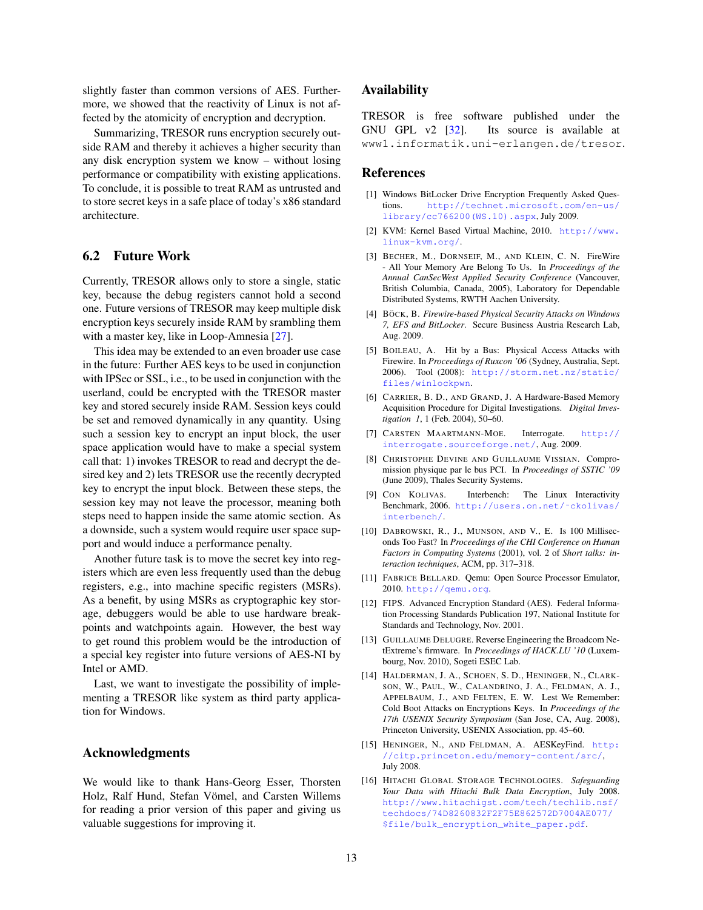slightly faster than common versions of AES. Furthermore, we showed that the reactivity of Linux is not affected by the atomicity of encryption and decryption.

Summarizing, TRESOR runs encryption securely outside RAM and thereby it achieves a higher security than any disk encryption system we know – without losing performance or compatibility with existing applications. To conclude, it is possible to treat RAM as untrusted and to store secret keys in a safe place of today's x86 standard architecture.

# 6.2 Future Work

Currently, TRESOR allows only to store a single, static key, because the debug registers cannot hold a second one. Future versions of TRESOR may keep multiple disk encryption keys securely inside RAM by srambling them with a master key, like in Loop-Amnesia [\[27\]](#page-13-8).

This idea may be extended to an even broader use case in the future: Further AES keys to be used in conjunction with IPSec or SSL, i.e., to be used in conjunction with the userland, could be encrypted with the TRESOR master key and stored securely inside RAM. Session keys could be set and removed dynamically in any quantity. Using such a session key to encrypt an input block, the user space application would have to make a special system call that: 1) invokes TRESOR to read and decrypt the desired key and 2) lets TRESOR use the recently decrypted key to encrypt the input block. Between these steps, the session key may not leave the processor, meaning both steps need to happen inside the same atomic section. As a downside, such a system would require user space support and would induce a performance penalty.

Another future task is to move the secret key into registers which are even less frequently used than the debug registers, e.g., into machine specific registers (MSRs). As a benefit, by using MSRs as cryptographic key storage, debuggers would be able to use hardware breakpoints and watchpoints again. However, the best way to get round this problem would be the introduction of a special key register into future versions of AES-NI by Intel or AMD.

Last, we want to investigate the possibility of implementing a TRESOR like system as third party application for Windows.

# Acknowledgments

We would like to thank Hans-Georg Esser, Thorsten Holz, Ralf Hund, Stefan Vömel, and Carsten Willems for reading a prior version of this paper and giving us valuable suggestions for improving it.

# Availability

TRESOR is free software published under the GNU GPL v2 [\[32\]](#page-13-20). Its source is available at www1.informatik.uni-erlangen.de/tresor.

#### References

- <span id="page-12-7"></span>[1] Windows BitLocker Drive Encryption Frequently Asked Questions. [http://technet.microsoft.com/en-us/](http://technet.microsoft.com/en-us/library/cc766200(WS.10).aspx) [library/cc766200\(WS.10\).aspx](http://technet.microsoft.com/en-us/library/cc766200(WS.10).aspx), July 2009.
- <span id="page-12-13"></span>[2] KVM: Kernel Based Virtual Machine, 2010. [http://www.](http://www.linux-kvm.org/) [linux-kvm.org/](http://www.linux-kvm.org/).
- <span id="page-12-1"></span>[3] BECHER, M., DORNSEIF, M., AND KLEIN, C. N. FireWire - All Your Memory Are Belong To Us. In *Proceedings of the Annual CanSecWest Applied Security Conference* (Vancouver, British Columbia, Canada, 2005), Laboratory for Dependable Distributed Systems, RWTH Aachen University.
- <span id="page-12-0"></span>[4] BÖCK, B. Firewire-based Physical Security Attacks on Windows *7, EFS and BitLocker*. Secure Business Austria Research Lab, Aug. 2009.
- <span id="page-12-2"></span>[5] BOILEAU, A. Hit by a Bus: Physical Access Attacks with Firewire. In *Proceedings of Ruxcon '06* (Sydney, Australia, Sept. 2006). Tool (2008): [http://storm.net.nz/static/](http://storm.net.nz/static/files/winlockpwn) [files/winlockpwn](http://storm.net.nz/static/files/winlockpwn).
- <span id="page-12-3"></span>[6] CARRIER, B. D., AND GRAND, J. A Hardware-Based Memory Acquisition Procedure for Digital Investigations. *Digital Investigation 1*, 1 (Feb. 2004), 50–60.
- <span id="page-12-15"></span>[7] CARSTEN MAARTMANN-MOE. Interrogate. [http://](http://interrogate.sourceforge.net/) [interrogate.sourceforge.net/](http://interrogate.sourceforge.net/), Aug. 2009.
- <span id="page-12-5"></span>[8] CHRISTOPHE DEVINE AND GUILLAUME VISSIAN. Compromission physique par le bus PCI. In *Proceedings of SSTIC '09* (June 2009), Thales Security Systems.
- <span id="page-12-11"></span>[9] CON KOLIVAS. Interbench: The Linux Interactivity Benchmark, 2006. [http://users.on.net/˜ckolivas/](http://users.on.net/~ckolivas/interbench/) [interbench/](http://users.on.net/~ckolivas/interbench/).
- <span id="page-12-10"></span>[10] DABROWSKI, R., J., MUNSON, AND V., E. Is 100 Milliseconds Too Fast? In *Proceedings of the CHI Conference on Human Factors in Computing Systems* (2001), vol. 2 of *Short talks: interaction techniques*, ACM, pp. 317–318.
- <span id="page-12-12"></span>[11] FABRICE BELLARD. Qemu: Open Source Processor Emulator, 2010. <http://qemu.org>.
- <span id="page-12-9"></span>[12] FIPS. Advanced Encryption Standard (AES). Federal Information Processing Standards Publication 197, National Institute for Standards and Technology, Nov. 2001.
- <span id="page-12-4"></span>[13] GUILLAUME DELUGRE. Reverse Engineering the Broadcom NetExtreme's firmware. In *Proceedings of HACK.LU '10* (Luxembourg, Nov. 2010), Sogeti ESEC Lab.
- <span id="page-12-6"></span>[14] HALDERMAN, J. A., SCHOEN, S. D., HENINGER, N., CLARK-SON, W., PAUL, W., CALANDRINO, J. A., FELDMAN, A. J., APPELBAUM, J., AND FELTEN, E. W. Lest We Remember: Cold Boot Attacks on Encryptions Keys. In *Proceedings of the 17th USENIX Security Symposium* (San Jose, CA, Aug. 2008), Princeton University, USENIX Association, pp. 45–60.
- <span id="page-12-14"></span>[15] HENINGER, N., AND FELDMAN, A. AESKeyFind. [http:](http://citp.princeton.edu/memory-content/src/) [//citp.princeton.edu/memory-content/src/](http://citp.princeton.edu/memory-content/src/), July 2008.
- <span id="page-12-8"></span>[16] HITACHI GLOBAL STORAGE TECHNOLOGIES. *Safeguarding Your Data with Hitachi Bulk Data Encryption*, July 2008. [http://www.hitachigst.com/tech/techlib.nsf/](http://www.hitachigst.com/tech/techlib.nsf/techdocs/74D8260832F2F75E862572D7004AE077/$file/bulk_encryption_white_paper.pdf) [techdocs/74D8260832F2F75E862572D7004AE077/](http://www.hitachigst.com/tech/techlib.nsf/techdocs/74D8260832F2F75E862572D7004AE077/$file/bulk_encryption_white_paper.pdf) [\\$file/bulk\\_encryption\\_white\\_paper.pdf](http://www.hitachigst.com/tech/techlib.nsf/techdocs/74D8260832F2F75E862572D7004AE077/$file/bulk_encryption_white_paper.pdf).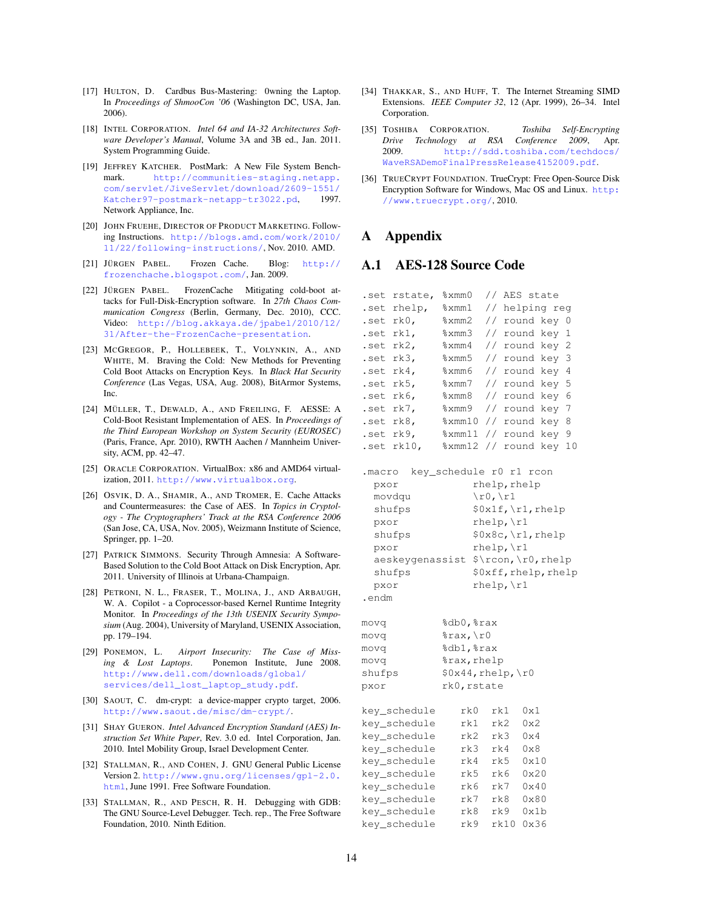- <span id="page-13-2"></span>[17] HULTON, D. Cardbus Bus-Mastering: 0wning the Laptop. In *Proceedings of ShmooCon '06* (Washington DC, USA, Jan. 2006).
- <span id="page-13-13"></span>[18] INTEL CORPORATION. *Intel 64 and IA-32 Architectures Software Developer's Manual*, Volume 3A and 3B ed., Jan. 2011. System Programming Guide.
- <span id="page-13-17"></span>[19] JEFFREY KATCHER. PostMark: A New File System Benchmark. [http://communities-staging.netapp.](http://communities-staging.netapp.com/servlet/JiveServlet/download/2609-1551/Katcher97-postmark-netapp-tr3022.pd) [com/servlet/JiveServlet/download/2609-1551/](http://communities-staging.netapp.com/servlet/JiveServlet/download/2609-1551/Katcher97-postmark-netapp-tr3022.pd) [Katcher97-postmark-netapp-tr3022.pd](http://communities-staging.netapp.com/servlet/JiveServlet/download/2609-1551/Katcher97-postmark-netapp-tr3022.pd), 1997. Network Appliance, Inc.
- <span id="page-13-16"></span>[20] JOHN FRUEHE, DIRECTOR OF PRODUCT MARKETING. Following Instructions. [http://blogs.amd.com/work/2010/](http://blogs.amd.com/work/2010/11/22/following-instructions/) [11/22/following-instructions/](http://blogs.amd.com/work/2010/11/22/following-instructions/), Nov. 2010. AMD.
- <span id="page-13-10"></span>[21] JÜRGEN PABEL. Frozen Cache. Blog: [http://](http://frozenchache.blogspot.com/) [frozenchache.blogspot.com/](http://frozenchache.blogspot.com/), Jan. 2009.
- <span id="page-13-11"></span>[22] JÜRGEN PABEL. FrozenCache Mitigating cold-boot attacks for Full-Disk-Encryption software. In *27th Chaos Communication Congress* (Berlin, Germany, Dec. 2010), CCC. Video: [http://blog.akkaya.de/jpabel/2010/12/](http://blog.akkaya.de/jpabel/2010/12/31/After-the-FrozenCache-presentation) [31/After-the-FrozenCache-presentation](http://blog.akkaya.de/jpabel/2010/12/31/After-the-FrozenCache-presentation).
- <span id="page-13-9"></span>[23] MCGREGOR, P., HOLLEBEEK, T., VOLYNKIN, A., AND WHITE, M. Braving the Cold: New Methods for Preventing Cold Boot Attacks on Encryption Keys. In *Black Hat Security Conference* (Las Vegas, USA, Aug. 2008), BitArmor Systems, Inc.
- <span id="page-13-6"></span>[24] MÜLLER, T., DEWALD, A., AND FREILING, F. AESSE: A Cold-Boot Resistant Implementation of AES. In *Proceedings of the Third European Workshop on System Security (EUROSEC)* (Paris, France, Apr. 2010), RWTH Aachen / Mannheim University, ACM, pp. 42–47.
- <span id="page-13-18"></span>[25] ORACLE CORPORATION. VirtualBox: x86 and AMD64 virtualization, 2011. <http://www.virtualbox.org>.
- <span id="page-13-19"></span>[26] OSVIK, D. A., SHAMIR, A., AND TROMER, E. Cache Attacks and Countermeasures: the Case of AES. In *Topics in Cryptology - The Cryptographers' Track at the RSA Conference 2006* (San Jose, CA, USA, Nov. 2005), Weizmann Institute of Science, Springer, pp. 1–20.
- <span id="page-13-8"></span>[27] PATRICK SIMMONS. Security Through Amnesia: A Software-Based Solution to the Cold Boot Attack on Disk Encryption, Apr. 2011. University of Illinois at Urbana-Champaign.
- <span id="page-13-1"></span>[28] PETRONI, N. L., FRASER, T., MOLINA, J., AND ARBAUGH, W. A. Copilot - a Coprocessor-based Kernel Runtime Integrity Monitor. In *Proceedings of the 13th USENIX Security Symposium* (Aug. 2004), University of Maryland, USENIX Association, pp. 179–194.
- <span id="page-13-0"></span>[29] PONEMON, L. *Airport Insecurity: The Case of Missing & Lost Laptops*. Ponemon Institute, June 2008. [http://www.dell.com/downloads/global/](http://www.dell.com/downloads/global/services/dell_lost_laptop_study.pdf) [services/dell\\_lost\\_laptop\\_study.pdf](http://www.dell.com/downloads/global/services/dell_lost_laptop_study.pdf).
- <span id="page-13-3"></span>[30] SAOUT, C. dm-crypt: a device-mapper crypto target, 2006. <http://www.saout.de/misc/dm-crypt/>.
- <span id="page-13-5"></span>[31] SHAY GUERON. *Intel Advanced Encryption Standard (AES) Instruction Set White Paper*, Rev. 3.0 ed. Intel Corporation, Jan. 2010. Intel Mobility Group, Israel Development Center.
- <span id="page-13-20"></span>[32] STALLMAN, R., AND COHEN, J. GNU General Public License Version 2. [http://www.gnu.org/licenses/gpl-2.0.](http://www.gnu.org/licenses/gpl-2.0.html) [html](http://www.gnu.org/licenses/gpl-2.0.html), June 1991. Free Software Foundation.
- <span id="page-13-15"></span>[33] STALLMAN, R., AND PESCH, R. H. Debugging with GDB: The GNU Source-Level Debugger. Tech. rep., The Free Software Foundation, 2010. Ninth Edition.
- <span id="page-13-7"></span>[34] THAKKAR, S., AND HUFF, T. The Internet Streaming SIMD Extensions. *IEEE Computer 32*, 12 (Apr. 1999), 26–34. Intel Corporation.
- <span id="page-13-12"></span>[35] TOSHIBA CORPORATION. *Toshiba Self-Encrypting Drive Technology at RSA Conference 2009*, Apr. 2009. [http://sdd.toshiba.com/techdocs/](http://sdd.toshiba.com/techdocs/WaveRSADemoFinalPressRelease4152009.pdf) [WaveRSADemoFinalPressRelease4152009.pdf](http://sdd.toshiba.com/techdocs/WaveRSADemoFinalPressRelease4152009.pdf).
- <span id="page-13-4"></span>[36] TRUECRYPT FOUNDATION. TrueCrypt: Free Open-Source Disk Encryption Software for Windows, Mac OS and Linux. [http:](http://www.truecrypt.org/) [//www.truecrypt.org/](http://www.truecrypt.org/), 2010.

# A Appendix

# <span id="page-13-14"></span>A.1 AES-128 Source Code

| .set      | rstate,         | %xmm0                   |                            |       |              | // AES state         |    |
|-----------|-----------------|-------------------------|----------------------------|-------|--------------|----------------------|----|
|           | .set rhelp,     | %xmm1                   |                            |       |              | // helping reg       |    |
| .set rk0, |                 | %xmm2                   | $\frac{1}{2}$              |       |              | round key            | 0  |
| .set rk1, |                 | %xmm3                   |                            |       |              | // round key         | 1  |
| .set rk2, |                 | %xmm4                   |                            |       |              | // round key         | 2  |
| .set rk3, |                 | %xmm5                   | $\frac{1}{2}$              |       |              | round key            | 3  |
| .set      | rk4,            | %xmm6                   | $\frac{1}{2}$              |       |              | round key 4          |    |
| .set      | rk5,            | %xmm7                   | $\frac{1}{2}$              |       |              | round key            | 5  |
| .set      | rk6,            | %xmm8                   | $\overline{1}$             |       |              | round key            | 6  |
| .set      | rk7,            | %xmm9                   | $\frac{1}{2}$              | round |              | key 7                |    |
| .set      | rk8,            | $\mathrm{\$ xmm10}      | // round                   |       |              | key 8                |    |
| .set      | rk9,            | %xmm11                  | $\frac{1}{\sqrt{2}}$ round |       |              | key                  | 9  |
| .set      | rk10,           | %xmm12                  | $\frac{1}{2}$              | round |              | key                  | 10 |
|           |                 |                         |                            |       |              |                      |    |
| .macro    |                 | key_schedule r0 r1 rcon |                            |       |              |                      |    |
| pxor      |                 |                         | rhelp, rhelp               |       |              |                      |    |
|           | movdqu          |                         | $\n\times 0, \ln 1$        |       |              |                      |    |
|           | shufps          |                         |                            |       |              | \$0x1f, \r1, rhelp   |    |
| pxor      |                 |                         | $rhe1p, \ln 1$             |       |              |                      |    |
|           | shufps          |                         |                            |       |              | \$0x8c, \r1, rhelp   |    |
| pxor      |                 |                         | $rhelp, \r1$               |       |              |                      |    |
|           | aeskeygenassist |                         |                            |       |              | \$\rcon,\r0,rhelp    |    |
|           | shufps          |                         |                            |       |              | \$0xff, rhelp, rhelp |    |
| pxor      |                 |                         | $rhelp, \r1$               |       |              |                      |    |
| .endm     |                 |                         |                            |       |              |                      |    |
| movq      |                 | %db0,%rax               |                            |       |              |                      |    |
| movq      |                 | %rax,\r0                |                            |       |              |                      |    |
| movq      |                 | %db1,%rax               |                            |       |              |                      |    |
| movq      |                 | %rax, rhelp             |                            |       |              |                      |    |
| shufps    |                 | $$0x44,$ rhelp, \r0     |                            |       |              |                      |    |
| pxor      |                 | rk0, rstate             |                            |       |              |                      |    |
|           |                 |                         |                            |       |              |                      |    |
|           | key_schedule    | rk0                     | rk1                        |       | 0x1          |                      |    |
|           | key_schedule    | rk1                     | rk2                        |       | 0x2          |                      |    |
|           | key_schedule    | rk2                     | rk3                        |       | $0\times 4$  |                      |    |
|           | key_schedule    | rk3                     | rk4                        |       | $0 \times 8$ |                      |    |
|           | key_schedule    | rk4                     | rk5                        |       | 0x10         |                      |    |
|           | key_schedule    | rk5                     | rk6                        |       | 0x20         |                      |    |
|           | key_schedule    | rk6                     | rk7                        |       | 0x40         |                      |    |
|           | key_schedule    | rk7                     | rk8                        |       | 0x80         |                      |    |
|           | key_schedule    | rk8                     | rk9                        |       | 0x1b         |                      |    |
|           | key_schedule    | rk9                     | rk10                       |       | 0x36         |                      |    |
|           |                 |                         |                            |       |              |                      |    |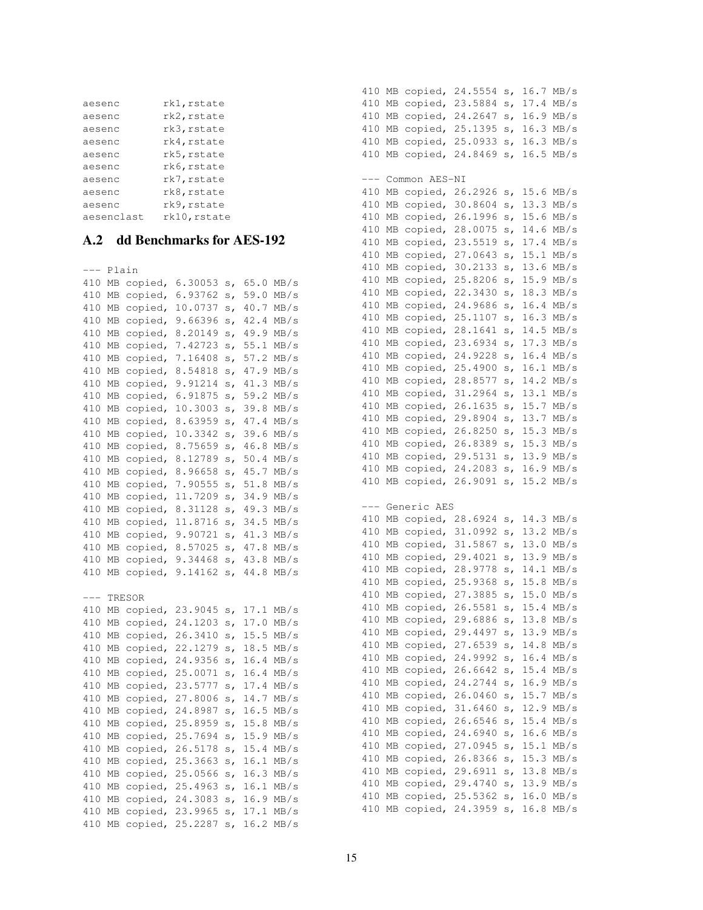| aesenc     | rk1, rstate  |
|------------|--------------|
| aesenc     | rk2, rstate  |
| aesenc     | rk3, rstate  |
| aesenc     | rk4, rstate  |
| aesenc     | rk5, rstate  |
| aesenc     | rk6, rstate  |
| aesenc     | rk7, rstate  |
| aesenc     | rk8, rstate  |
| aesenc     | rk9, rstate  |
| aesenclast | rk10, rstate |

<span id="page-14-0"></span>A.2 dd Benchmarks for AES-192 --- Plain 410 MB copied, 6.30053 s, 65.0 MB/s 410 MB copied, 6.93762 s, 59.0 MB/s 410 MB copied, 10.0737 s, 40.7 MB/s 410 MB copied, 9.66396 s, 42.4 MB/s 410 MB copied, 8.20149 s, 49.9 MB/s 410 MB copied, 7.42723 s, 55.1 MB/s 410 MB copied, 7.16408 s, 57.2 MB/s 410 MB copied, 8.54818 s, 47.9 MB/s 410 MB copied, 9.91214 s, 41.3 MB/s 410 MB copied, 6.91875 s, 59.2 MB/s 410 MB copied, 10.3003 s, 39.8 MB/s 410 MB copied, 8.63959 s, 47.4 MB/s 410 MB copied, 10.3342 s, 39.6 MB/s 410 MB copied, 8.75659 s, 46.8 MB/s 410 MB copied, 8.12789 s, 50.4 MB/s 410 MB copied, 8.96658 s, 45.7 MB/s 410 MB copied, 7.90555 s, 51.8 MB/s 410 MB copied, 11.7209 s, 34.9 MB/s 410 MB copied, 8.31128 s, 49.3 MB/s 410 MB copied, 11.8716 s, 34.5 MB/s 410 MB copied, 9.90721 s, 41.3 MB/s 410 MB copied, 8.57025 s, 47.8 MB/s 410 MB copied, 9.34468 s, 43.8 MB/s 410 MB copied, 9.14162 s, 44.8 MB/s --- TRESOR 410 MB copied, 23.9045 s, 17.1 MB/s 410 MB copied, 24.1203 s, 17.0 MB/s 410 MB copied, 26.3410 s, 15.5 MB/s 410 MB copied, 22.1279 s, 18.5 MB/s 410 MB copied, 24.9356 s, 16.4 MB/s 410 MB copied, 25.0071 s, 16.4 MB/s 410 MB copied, 23.5777 s, 17.4 MB/s 410 MB copied, 27.8006 s, 14.7 MB/s 410 MB copied, 24.8987 s, 16.5 MB/s 410 MB copied, 25.8959 s, 15.8 MB/s 410 MB copied, 25.7694 s, 15.9 MB/s 410 MB copied, 26.5178 s, 15.4 MB/s 410 MB copied, 25.3663 s, 16.1 MB/s 410 MB copied, 25.0566 s, 16.3 MB/s 410 MB copied, 25.4963 s, 16.1 MB/s 410 MB copied, 24.3083 s, 16.9 MB/s 410 MB copied, 23.9965 s, 17.1 MB/s 410 MB copied, 25.2287 s, 16.2 MB/s

410 MB copied, 24.5554 s, 16.7 MB/s 410 MB copied, 23.5884 s, 17.4 MB/s 410 MB copied, 24.2647 s, 16.9 MB/s 410 MB copied, 25.1395 s, 16.3 MB/s 410 MB copied, 25.0933 s, 16.3 MB/s 410 MB copied, 24.8469 s, 16.5 MB/s --- Common AES-NI 410 MB copied, 26.2926 s, 15.6 MB/s 410 MB copied, 30.8604 s, 13.3 MB/s 410 MB copied, 26.1996 s, 15.6 MB/s 410 MB copied, 28.0075 s, 14.6 MB/s 410 MB copied, 23.5519 s, 17.4 MB/s 410 MB copied, 27.0643 s, 15.1 MB/s 410 MB copied, 30.2133 s, 13.6 MB/s 410 MB copied, 25.8206 s, 15.9 MB/s 410 MB copied, 22.3430 s, 18.3 MB/s 410 MB copied, 24.9686 s, 16.4 MB/s 410 MB copied, 25.1107 s, 16.3 MB/s 410 MB copied, 28.1641 s, 14.5 MB/s 410 MB copied, 23.6934 s, 17.3 MB/s 410 MB copied, 24.9228 s, 16.4 MB/s 410 MB copied, 25.4900 s, 16.1 MB/s 410 MB copied, 28.8577 s, 14.2 MB/s 410 MB copied, 31.2964 s, 13.1 MB/s 410 MB copied, 26.1635 s, 15.7 MB/s 410 MB copied, 29.8904 s, 13.7 MB/s 410 MB copied, 26.8250 s, 15.3 MB/s 410 MB copied, 26.8389 s, 15.3 MB/s 410 MB copied, 29.5131 s, 13.9 MB/s 410 MB copied, 24.2083 s, 16.9 MB/s 410 MB copied, 26.9091 s, 15.2 MB/s --- Generic AES 410 MB copied, 28.6924 s, 14.3 MB/s 410 MB copied, 31.0992 s, 13.2 MB/s 410 MB copied, 31.5867 s, 13.0 MB/s 410 MB copied, 29.4021 s, 13.9 MB/s 410 MB copied, 28.9778 s, 14.1 MB/s 410 MB copied, 25.9368 s, 15.8 MB/s 410 MB copied, 27.3885 s, 15.0 MB/s 410 MB copied, 26.5581 s, 15.4 MB/s 410 MB copied, 29.6886 s, 13.8 MB/s 410 MB copied, 29.4497 s, 13.9 MB/s 410 MB copied, 27.6539 s, 14.8 MB/s 410 MB copied, 24.9992 s, 16.4 MB/s 410 MB copied, 26.6642 s, 15.4 MB/s 410 MB copied, 24.2744 s, 16.9 MB/s 410 MB copied, 26.0460 s, 15.7 MB/s 410 MB copied, 31.6460 s, 12.9 MB/s 410 MB copied, 26.6546 s, 15.4 MB/s 410 MB copied, 24.6940 s, 16.6 MB/s 410 MB copied, 27.0945 s, 15.1 MB/s 410 MB copied, 26.8366 s, 15.3 MB/s 410 MB copied, 29.6911 s, 13.8 MB/s 410 MB copied, 29.4740 s, 13.9 MB/s 410 MB copied, 25.5362 s, 16.0 MB/s 410 MB copied, 24.3959 s, 16.8 MB/s